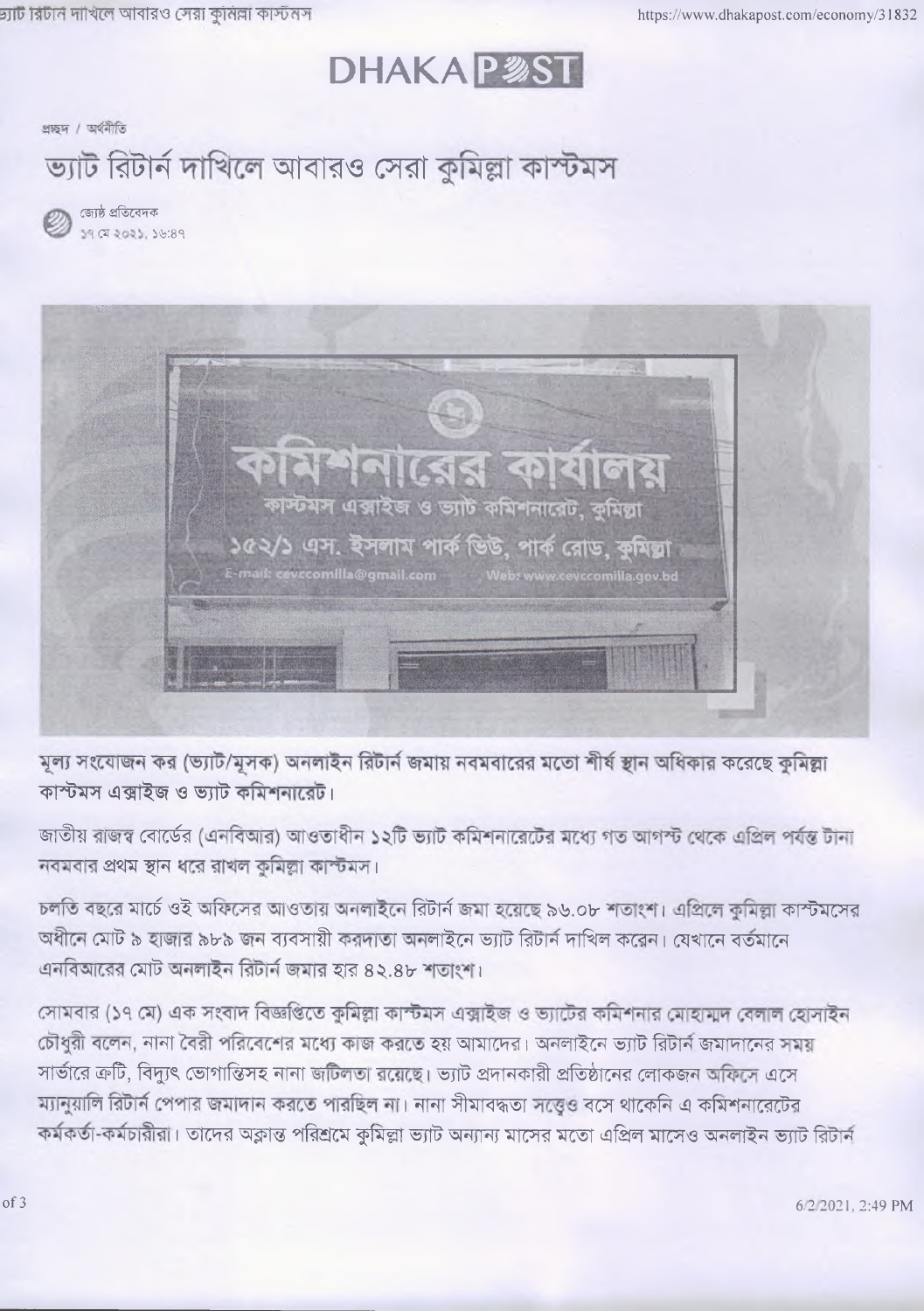## **DHAKAP多ST**

প্ৰচ্ছদ / অৰ্থনীতি

ভ্যাট রিটার্ন দাখিলে আবারও সেরা কুমিল্লা কাস্টমস

জ্যেষ্ঠ প্ৰতিবেদক 39 07 2023, 36:89



মূল্য সংযোজন কর (ভ্যাট/মূসক) অনলাইন রিটার্ন জমায় নবমবারের মতো শীর্ষ স্থান অধিকার করেছে কুমিল্লা কাস্টমস এক্সাইজ ও ভ্যাট কমিশনারেট।

জাতীয় রাজস্ব বোর্ডের (এনবিআর) আওতাধীন ১২টি ভ্যাট কমিশনারেটের মধ্যে গত আগস্ট থেকে এপ্রিল পর্যন্ত টানা নবমবার প্রথম স্থান ধরে রাখল কুমিল্লা কাস্টমস।

চলতি বছরে মার্চে ওই অফিসের আওতায় অনলাইনে রিটার্ন জমা হয়েছে ৯৬.০৮ শতাংশ। এপ্রিলে কুমিল্লা কাস্টমসের অধীনে মোট ৯ হাজার ৯৮৯ জন ব্যবসায়ী করদাতা অনলাইনে ভ্যাট রিটার্ন দাখিল করেন। যেখানে বর্তমানে এনবিআরের মোট অনলাইন রিটার্ন জমার হার ৪২.৪৮ শতাংশ।

সোমবার (১৭ মে) এক সংবাদ বিজ্ঞপ্তিতে কুমিল্লা কাস্টমস এক্সাইজ ও ভ্যাটের কমিশনার মোহামাদ বেলাল হোসাইন চৌধুরী বলেন, নানা বৈরী পরিবেশের মধ্যে কাজ করতে হয় আমাদের। অনলাইনে ভ্যাট রিটার্ন জমাদানের সময় সার্ভারে ক্রটি, বিদ্যুৎ ভোগান্তিসহ নানা জটিলতা রয়েছে। ভ্যাট প্রদানকারী প্রতিষ্ঠানের লোকজন অফিসে এসে ম্যানুয়ালি রিটার্ন পেপার জমাদান করতে পারছিল না। নানা সীমাবদ্ধতা সত্তেও বসে থাকেনি এ কমিশনারেটের কর্মকর্তা-কর্মচারীরা। তাদের অক্লান্ত পরিশ্রমে কুমিল্লা ভ্যাট অন্যান্য মাসের মতো এপ্রিল মাসেও অনলাইন ভ্যাট রিটার